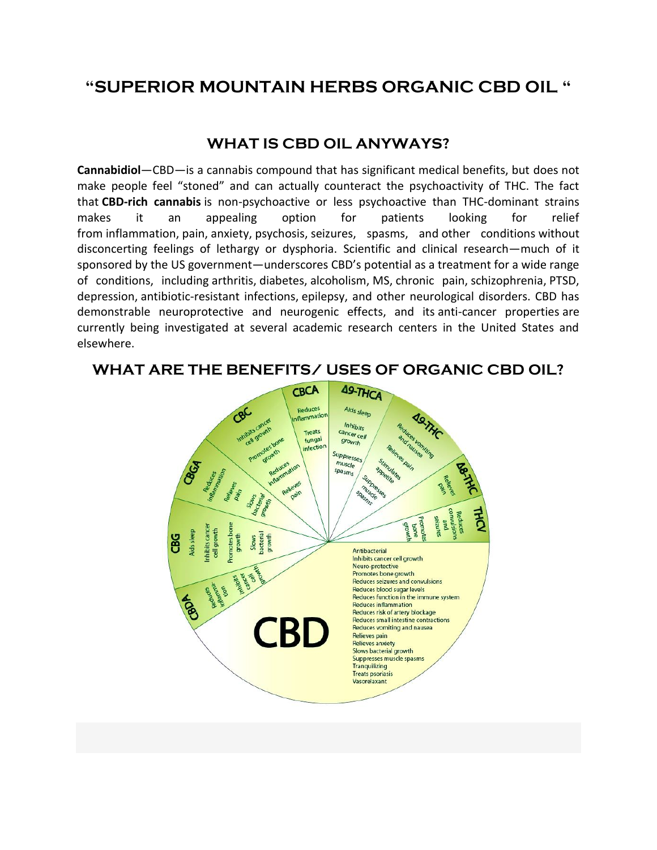## **"SUPERIOR MOUNTAIN HERBS ORGANIC CBD OIL "**

## **WHAT IS CBD OIL ANYWAYS?**

**Cannabidiol**—CBD—is a cannabis compound that has significant medical benefits, but does not make people feel "stoned" and can actually counteract the psychoactivity of THC. The fact that **CBD-rich cannabis** is non-psychoactive or less psychoactive than THC-dominant strains makes it an appealing option for patients looking for relief from [inflammation,](https://www.projectcbd.org/content/inflammation) [pain,](https://www.projectcbd.org/content/neuropathic-pain) [anxiety,](https://www.projectcbd.org/condition/10/Anxiety) [psychosis,](https://www.projectcbd.org/content/mood-disorders) [seizures,](https://www.projectcbd.org/content/epilepsy-seizure-disorders) spasms, and [other conditions](https://www.projectcbd.org/conditions) without disconcerting feelings of lethargy or dysphoria. Scientific and clinical research—much of it sponsored by the US government—underscores CBD's potential as a treatment for a wide range of conditions, including [arthritis,](https://www.projectcbd.org/content/arthritis) [diabetes,](https://www.projectcbd.org/content/diabetes) [alcoholism,](https://www.projectcbd.org/content/addiction-alcoholism) [MS,](https://www.projectcbd.org/content/multiple-sclerosis-ms) [chronic pain,](https://www.projectcbd.org/content/neuropathic-pain) [schizophrenia,](https://www.projectcbd.org/content/schizophrenia) [PTSD,](https://www.projectcbd.org/content/ptsd-post-traumatic-stress-syndrome) [depression,](https://www.projectcbd.org/content/depression) [antibiotic-resistant infections,](https://www.projectcbd.org/content/antibiotic-resistance) [epilepsy,](https://www.projectcbd.org/content/epilepsy-seizure-disorders) and other neurological disorders. CBD has demonstrable neuroprotective and neurogenic effects, and its [anti-cancer properties](https://www.projectcbd.org/content/cancer) are currently being investigated at several academic research centers in the United States and elsewhere.



**WHAT ARE THE BENEFITS/ USES OF ORGANIC CBD OIL?**